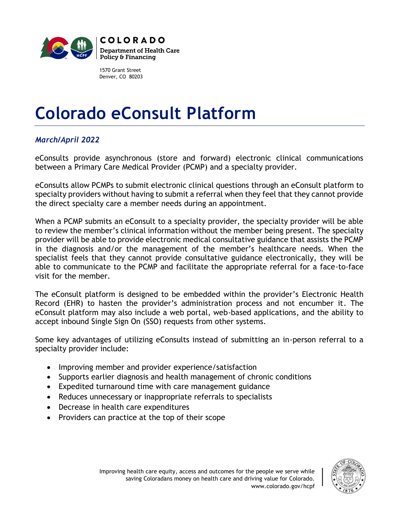

1570 Grant Street Denver, CO 80203

## **Colorado eConsult Platform**

## *March/April 2022*

eConsults provide asynchronous (store and forward) electronic clinical communications between a Primary Care Medical Provider (PCMP) and a specialty provider.

eConsults allow PCMPs to submit electronic clinical questions through an eConsult platform to specialty providers without having to submit a referral when they feel that they cannot provide the direct specialty care a member needs during an appointment.

When a PCMP submits an eConsult to a specialty provider, the specialty provider will be able to review the member's clinical information without the member being present. The specialty provider will be able to provide electronic medical consultative guidance that assists the PCMP in the diagnosis and/or the management of the member's healthcare needs. When the specialist feels that they cannot provide consultative guidance electronically, they will be able to communicate to the PCMP and facilitate the appropriate referral for a face-to-face visit for the member.

The eConsult platform is designed to be embedded within the provider's Electronic Health Record (EHR) to hasten the provider's administration process and not encumber it. The eConsult platform may also include a web portal, web-based applications, and the ability to accept inbound Single Sign On (SSO) requests from other systems.

Some key advantages of utilizing eConsults instead of submitting an in-person referral to a specialty provider include:

- Improving member and provider experience/satisfaction
- Supports earlier diagnosis and health management of chronic conditions
- Expedited turnaround time with care management guidance
- Reduces unnecessary or inappropriate referrals to specialists
- Decrease in health care expenditures
- Providers can practice at the top of their scope